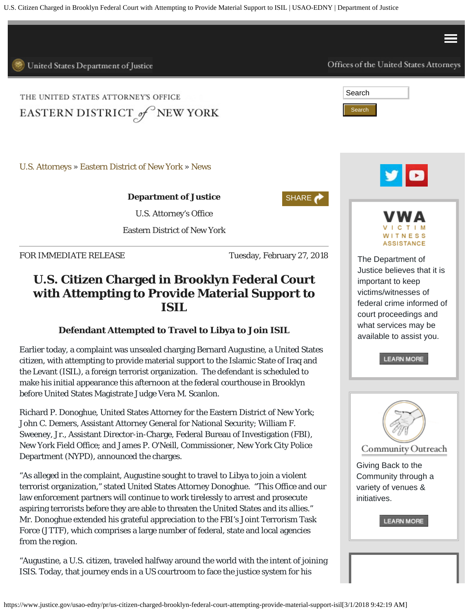U.S. Citizen Charged in Brooklyn Federal Court with Attempting to Provide Material Support to ISIL | USAO-EDNY | Department of Justice

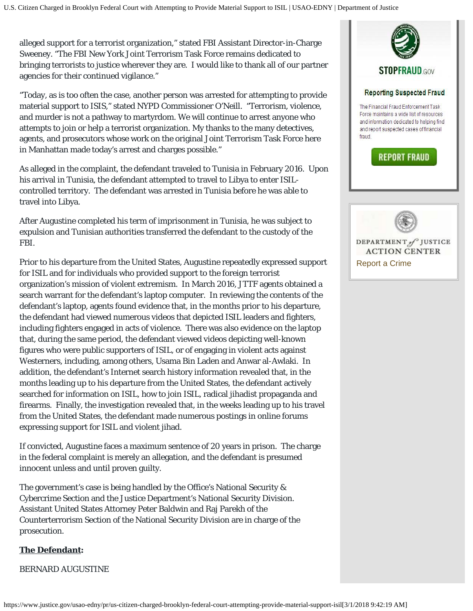alleged support for a terrorist organization," stated FBI Assistant Director-in-Charge Sweeney. "The FBI New York Joint Terrorism Task Force remains dedicated to bringing terrorists to justice wherever they are. I would like to thank all of our partner agencies for their continued vigilance."

"Today, as is too often the case, another person was arrested for attempting to provide material support to ISIS," stated NYPD Commissioner O'Neill. "Terrorism, violence, and murder is not a pathway to martyrdom. We will continue to arrest anyone who attempts to join or help a terrorist organization. My thanks to the many detectives, agents, and prosecutors whose work on the original Joint Terrorism Task Force here in Manhattan made today's arrest and charges possible."

As alleged in the complaint, the defendant traveled to Tunisia in February 2016. Upon his arrival in Tunisia, the defendant attempted to travel to Libya to enter ISILcontrolled territory. The defendant was arrested in Tunisia before he was able to travel into Libya.

After Augustine completed his term of imprisonment in Tunisia, he was subject to expulsion and Tunisian authorities transferred the defendant to the custody of the FBI.

Prior to his departure from the United States, Augustine repeatedly expressed support for ISIL and for individuals who provided support to the foreign terrorist organization's mission of violent extremism. In March 2016, JTTF agents obtained a search warrant for the defendant's laptop computer. In reviewing the contents of the defendant's laptop, agents found evidence that, in the months prior to his departure, the defendant had viewed numerous videos that depicted ISIL leaders and fighters, including fighters engaged in acts of violence. There was also evidence on the laptop that, during the same period, the defendant viewed videos depicting well-known figures who were public supporters of ISIL, or of engaging in violent acts against Westerners, including, among others, Usama Bin Laden and Anwar al-Awlaki. In addition, the defendant's Internet search history information revealed that, in the months leading up to his departure from the United States, the defendant actively searched for information on ISIL, how to join ISIL, radical jihadist propaganda and firearms. Finally, the investigation revealed that, in the weeks leading up to his travel from the United States, the defendant made numerous postings in online forums expressing support for ISIL and violent jihad.

If convicted, Augustine faces a maximum sentence of 20 years in prison. The charge in the federal complaint is merely an allegation, and the defendant is presumed innocent unless and until proven guilty.

The government's case is being handled by the Office's National Security & Cybercrime Section and the Justice Department's National Security Division. Assistant United States Attorney Peter Baldwin and Raj Parekh of the Counterterrorism Section of the National Security Division are in charge of the prosecution.

## **The Defendant:**

BERNARD AUGUSTINE



DEPARTMENT of JUSTICE **ACTION CENTER** [Report a Crime](https://www.justice.gov/usao-edny/report-crime)